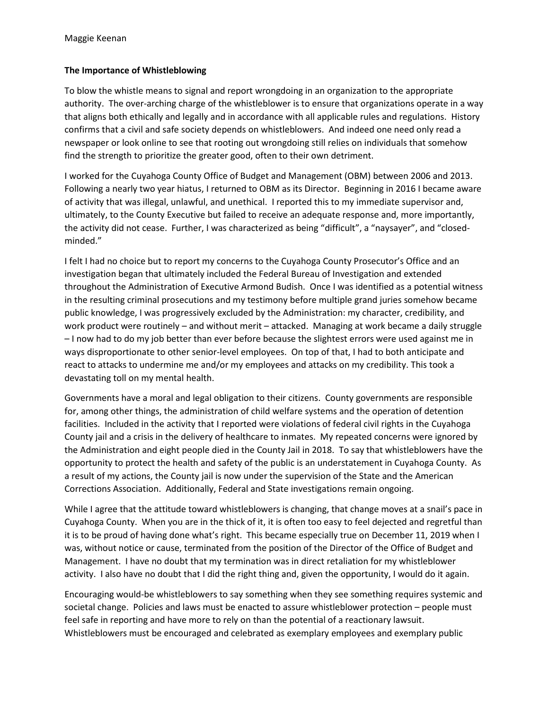## **The Importance of Whistleblowing**

To blow the whistle means to signal and report wrongdoing in an organization to the appropriate authority. The over-arching charge of the whistleblower is to ensure that organizations operate in a way that aligns both ethically and legally and in accordance with all applicable rules and regulations. History confirms that a civil and safe society depends on whistleblowers. And indeed one need only read a newspaper or look online to see that rooting out wrongdoing still relies on individuals that somehow find the strength to prioritize the greater good, often to their own detriment.

I worked for the Cuyahoga County Office of Budget and Management (OBM) between 2006 and 2013. Following a nearly two year hiatus, I returned to OBM as its Director. Beginning in 2016 I became aware of activity that was illegal, unlawful, and unethical. I reported this to my immediate supervisor and, ultimately, to the County Executive but failed to receive an adequate response and, more importantly, the activity did not cease. Further, I was characterized as being "difficult", a "naysayer", and "closedminded."

I felt I had no choice but to report my concerns to the Cuyahoga County Prosecutor's Office and an investigation began that ultimately included the Federal Bureau of Investigation and extended throughout the Administration of Executive Armond Budish. Once I was identified as a potential witness in the resulting criminal prosecutions and my testimony before multiple grand juries somehow became public knowledge, I was progressively excluded by the Administration: my character, credibility, and work product were routinely – and without merit – attacked. Managing at work became a daily struggle – I now had to do my job better than ever before because the slightest errors were used against me in ways disproportionate to other senior-level employees. On top of that, I had to both anticipate and react to attacks to undermine me and/or my employees and attacks on my credibility. This took a devastating toll on my mental health.

Governments have a moral and legal obligation to their citizens. County governments are responsible for, among other things, the administration of child welfare systems and the operation of detention facilities. Included in the activity that I reported were violations of federal civil rights in the Cuyahoga County jail and a crisis in the delivery of healthcare to inmates. My repeated concerns were ignored by the Administration and eight people died in the County Jail in 2018. To say that whistleblowers have the opportunity to protect the health and safety of the public is an understatement in Cuyahoga County. As a result of my actions, the County jail is now under the supervision of the State and the American Corrections Association. Additionally, Federal and State investigations remain ongoing.

While I agree that the attitude toward whistleblowers is changing, that change moves at a snail's pace in Cuyahoga County. When you are in the thick of it, it is often too easy to feel dejected and regretful than it is to be proud of having done what's right. This became especially true on December 11, 2019 when I was, without notice or cause, terminated from the position of the Director of the Office of Budget and Management. I have no doubt that my termination was in direct retaliation for my whistleblower activity. I also have no doubt that I did the right thing and, given the opportunity, I would do it again.

Encouraging would-be whistleblowers to say something when they see something requires systemic and societal change. Policies and laws must be enacted to assure whistleblower protection – people must feel safe in reporting and have more to rely on than the potential of a reactionary lawsuit. Whistleblowers must be encouraged and celebrated as exemplary employees and exemplary public